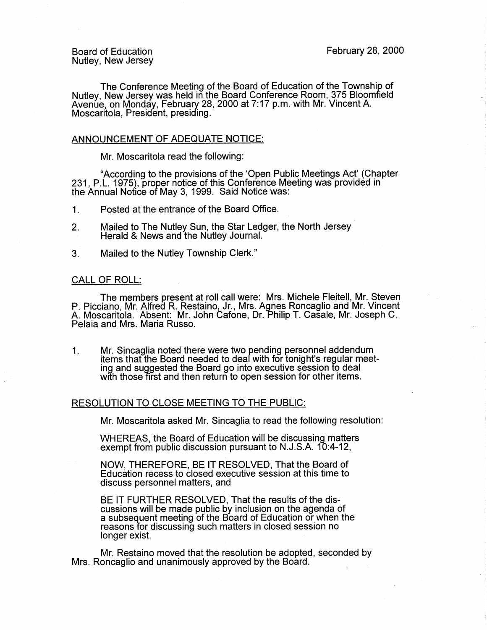The Conference Meeting of the Board of Education of the Township of Nutley, New Jersey was held in the Board Conference Room, 375 Bloomfield Avenue, on Monday, February 28, 2000 at 7:17 p.m. with Mr. Vincent A. Moscaritola, President, presiding.

### ANNOUNCEMENT OF ADEQUATE NOTICE:

Mr. Moscaritola read the following:

"According to the provisions of the 'Open.Public Meetings Act' (Chapter 231, P.L. 1975), proper notice of this Conference Meeting was provided in the Annual Notice of May 3, 1999. Said Notice was:

1 . Posted at the entrance of the Board Office.

- 2. Mailed to The Nutley Sun, the Star Ledger, the North Jersey Herald & News and the Nutley Journal.
- 3. Mailed to the Nutley Township Clerk."

### CALL OF ROLL:

The members present at roll call were: Mrs. Michele Fleitell, Mr. Steven P. Picciano, Mr. Alfred R. Restaino, Jr., Mrs. Agnes Roncaglio and Mr. Vincent A. Moscaritola. Absent: Mr. John Cafone, Dr. Philip T. Casale, Mr. Joseph C. Pelaia and Mrs. Maria Russo.

1. Mr. Sincaglia noted there were two pending personnel addendum items that the Board needed to deal with for tonight's regular meeting and suggested the Board go into executive session to deal with those first and then return to open session for other items.

### RESOLUTION TO CLOSE MEETING TO THE PUBLIC:

Mr. Moscaritola asked Mr. Sincaglia to read the following resolution:

WHEREAS, the Board of Education will be discussing matters exempt from public discussion pursuant to N.J.S.A. 10:4-12,

**NOW,** THEREFORE, BE IT RESOLVED, That the Board of Education recess to closed executive session at this time to discuss personnel matters, and

BE IT FURTHER RESOLVED, That the results of the discussions will be made public by inclusion on the agenda of a subsequent meeting of the Board of Education or when the reasons for discussing such matters in closed session no longer exist.

Mr. Restaino moved that the resolution be adopted, seconded by Mrs. Roncaglio and unanimously approved by the Board.